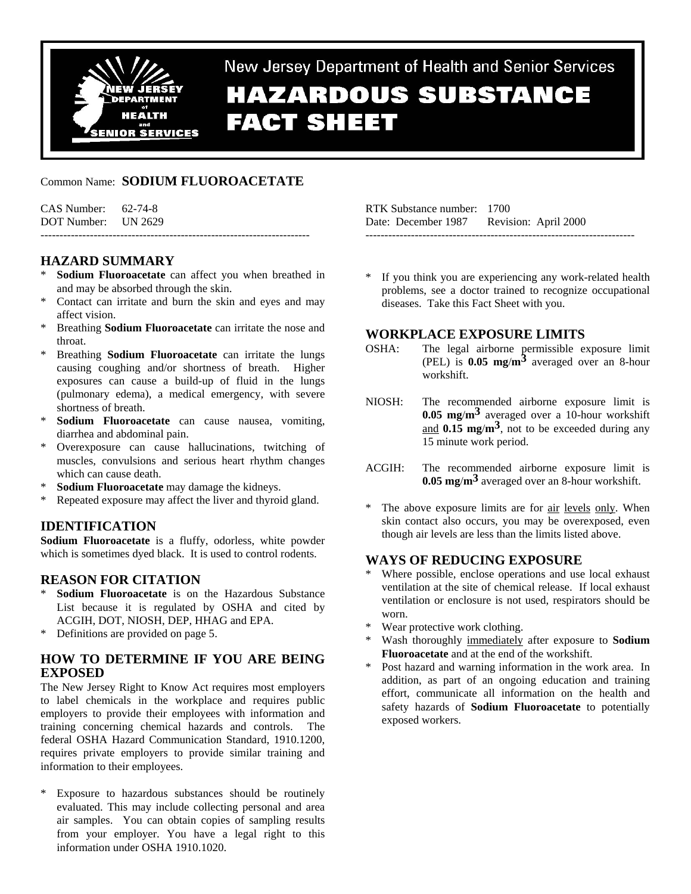

New Jersey Department of Health and Senior Services **HAZARDOUS SUBSTANCE FACT SHEET** 

# Common Name: **SODIUM FLUOROACETATE**

CAS Number: 62-74-8 DOT Number: UN 2629 -----------------------------------------------------------------------

## **HAZARD SUMMARY**

- Sodium Fluoroacetate can affect you when breathed in and may be absorbed through the skin.
- Contact can irritate and burn the skin and eyes and may affect vision.
- Breathing **Sodium Fluoroacetate** can irritate the nose and throat.
- \* Breathing **Sodium Fluoroacetate** can irritate the lungs causing coughing and/or shortness of breath. Higher exposures can cause a build-up of fluid in the lungs (pulmonary edema), a medical emergency, with severe shortness of breath.
- Sodium Fluoroacetate can cause nausea, vomiting, diarrhea and abdominal pain.
- Overexposure can cause hallucinations, twitching of muscles, convulsions and serious heart rhythm changes which can cause death.
- **Sodium Fluoroacetate** may damage the kidneys.
- Repeated exposure may affect the liver and thyroid gland.

#### **IDENTIFICATION**

**Sodium Fluoroacetate** is a fluffy, odorless, white powder which is sometimes dyed black. It is used to control rodents.

## **REASON FOR CITATION**

- **Sodium Fluoroacetate** is on the Hazardous Substance List because it is regulated by OSHA and cited by ACGIH, DOT, NIOSH, DEP, HHAG and EPA.
- \* Definitions are provided on page 5.

## **HOW TO DETERMINE IF YOU ARE BEING EXPOSED**

The New Jersey Right to Know Act requires most employers to label chemicals in the workplace and requires public employers to provide their employees with information and training concerning chemical hazards and controls. The federal OSHA Hazard Communication Standard, 1910.1200, requires private employers to provide similar training and information to their employees.

Exposure to hazardous substances should be routinely evaluated. This may include collecting personal and area air samples. You can obtain copies of sampling results from your employer. You have a legal right to this information under OSHA 1910.1020.

RTK Substance number: 1700 Date: December 1987 Revision: April 2000 -----------------------------------------------------------------------

\* If you think you are experiencing any work-related health problems, see a doctor trained to recognize occupational diseases. Take this Fact Sheet with you.

## **WORKPLACE EXPOSURE LIMITS**

OSHA: The legal airborne permissible exposure limit (PEL) is **0.05 mg**/**m3** averaged over an 8-hour workshift.

NIOSH: The recommended airborne exposure limit is **0.05 mg**/**m3** averaged over a 10-hour workshift and **0.15 mg**/**m3**, not to be exceeded during any 15 minute work period.

- ACGIH: The recommended airborne exposure limit is **0.05 mg**/**m3** averaged over an 8-hour workshift.
- The above exposure limits are for air levels only. When skin contact also occurs, you may be overexposed, even though air levels are less than the limits listed above.

#### **WAYS OF REDUCING EXPOSURE**

- Where possible, enclose operations and use local exhaust ventilation at the site of chemical release. If local exhaust ventilation or enclosure is not used, respirators should be worn.
- \* Wear protective work clothing.
- \* Wash thoroughly immediately after exposure to **Sodium Fluoroacetate** and at the end of the workshift.
- Post hazard and warning information in the work area. In addition, as part of an ongoing education and training effort, communicate all information on the health and safety hazards of **Sodium Fluoroacetate** to potentially exposed workers.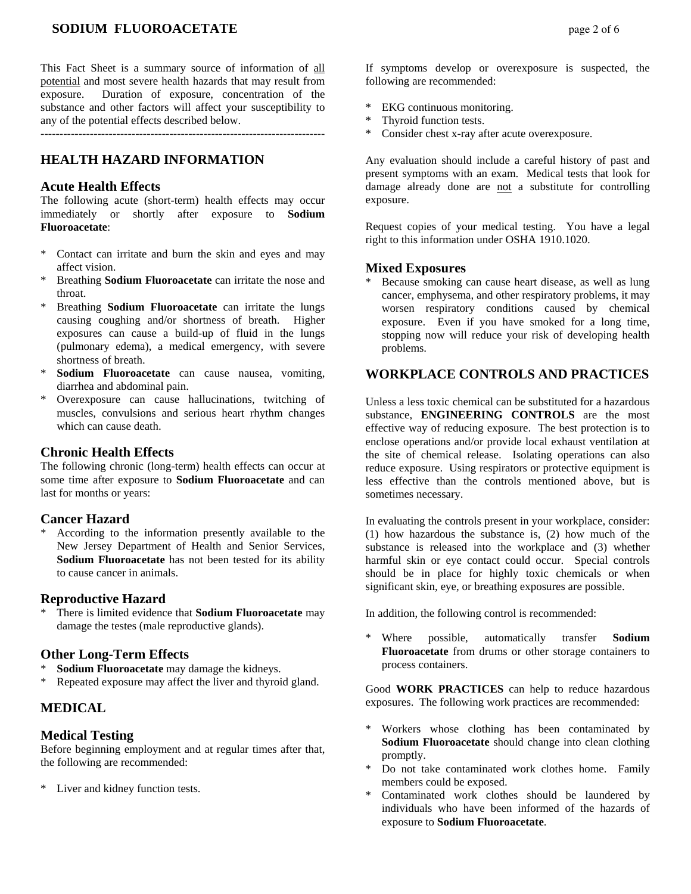This Fact Sheet is a summary source of information of all potential and most severe health hazards that may result from exposure. Duration of exposure, concentration of the substance and other factors will affect your susceptibility to any of the potential effects described below.

---------------------------------------------------------------------------

# **HEALTH HAZARD INFORMATION**

#### **Acute Health Effects**

The following acute (short-term) health effects may occur immediately or shortly after exposure to **Sodium Fluoroacetate**:

- Contact can irritate and burn the skin and eyes and may affect vision.
- Breathing **Sodium Fluoroacetate** can irritate the nose and throat.
- \* Breathing **Sodium Fluoroacetate** can irritate the lungs causing coughing and/or shortness of breath. Higher exposures can cause a build-up of fluid in the lungs (pulmonary edema), a medical emergency, with severe shortness of breath.
- \* **Sodium Fluoroacetate** can cause nausea, vomiting, diarrhea and abdominal pain.
- \* Overexposure can cause hallucinations, twitching of muscles, convulsions and serious heart rhythm changes which can cause death.

## **Chronic Health Effects**

The following chronic (long-term) health effects can occur at some time after exposure to **Sodium Fluoroacetate** and can last for months or years:

## **Cancer Hazard**

\* According to the information presently available to the New Jersey Department of Health and Senior Services, **Sodium Fluoroacetate** has not been tested for its ability to cause cancer in animals.

#### **Reproductive Hazard**

\* There is limited evidence that **Sodium Fluoroacetate** may damage the testes (male reproductive glands).

## **Other Long-Term Effects**

- Sodium Fluoroacetate may damage the kidneys.
- \* Repeated exposure may affect the liver and thyroid gland.

## **MEDICAL**

## **Medical Testing**

Before beginning employment and at regular times after that, the following are recommended:

Liver and kidney function tests.

If symptoms develop or overexposure is suspected, the following are recommended:

- \* EKG continuous monitoring.
- Thyroid function tests.
- \* Consider chest x-ray after acute overexposure.

Any evaluation should include a careful history of past and present symptoms with an exam. Medical tests that look for damage already done are not a substitute for controlling exposure.

Request copies of your medical testing. You have a legal right to this information under OSHA 1910.1020.

### **Mixed Exposures**

\* Because smoking can cause heart disease, as well as lung cancer, emphysema, and other respiratory problems, it may worsen respiratory conditions caused by chemical exposure. Even if you have smoked for a long time, stopping now will reduce your risk of developing health problems.

# **WORKPLACE CONTROLS AND PRACTICES**

Unless a less toxic chemical can be substituted for a hazardous substance, **ENGINEERING CONTROLS** are the most effective way of reducing exposure. The best protection is to enclose operations and/or provide local exhaust ventilation at the site of chemical release. Isolating operations can also reduce exposure. Using respirators or protective equipment is less effective than the controls mentioned above, but is sometimes necessary.

In evaluating the controls present in your workplace, consider: (1) how hazardous the substance is, (2) how much of the substance is released into the workplace and (3) whether harmful skin or eye contact could occur. Special controls should be in place for highly toxic chemicals or when significant skin, eye, or breathing exposures are possible.

In addition, the following control is recommended:

\* Where possible, automatically transfer **Sodium Fluoroacetate** from drums or other storage containers to process containers.

Good **WORK PRACTICES** can help to reduce hazardous exposures. The following work practices are recommended:

- Workers whose clothing has been contaminated by **Sodium Fluoroacetate** should change into clean clothing promptly.
- Do not take contaminated work clothes home. Family members could be exposed.
- \* Contaminated work clothes should be laundered by individuals who have been informed of the hazards of exposure to **Sodium Fluoroacetate**.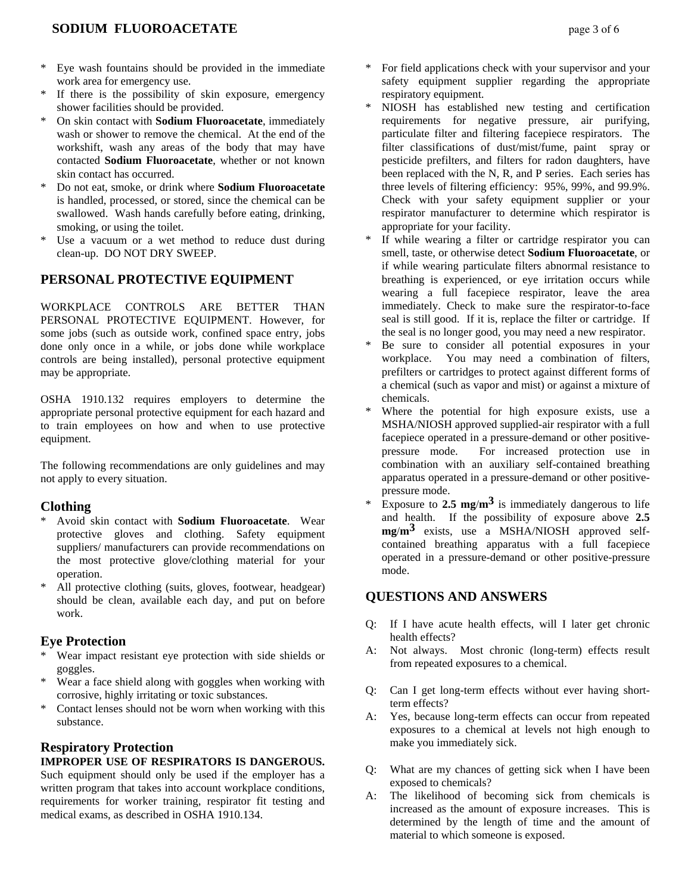- Eye wash fountains should be provided in the immediate work area for emergency use.
- If there is the possibility of skin exposure, emergency shower facilities should be provided.
- \* On skin contact with **Sodium Fluoroacetate**, immediately wash or shower to remove the chemical. At the end of the workshift, wash any areas of the body that may have contacted **Sodium Fluoroacetate**, whether or not known skin contact has occurred.
- \* Do not eat, smoke, or drink where **Sodium Fluoroacetate** is handled, processed, or stored, since the chemical can be swallowed. Wash hands carefully before eating, drinking, smoking, or using the toilet.
- \* Use a vacuum or a wet method to reduce dust during clean-up. DO NOT DRY SWEEP.

# **PERSONAL PROTECTIVE EQUIPMENT**

WORKPLACE CONTROLS ARE BETTER THAN PERSONAL PROTECTIVE EQUIPMENT. However, for some jobs (such as outside work, confined space entry, jobs done only once in a while, or jobs done while workplace controls are being installed), personal protective equipment may be appropriate.

OSHA 1910.132 requires employers to determine the appropriate personal protective equipment for each hazard and to train employees on how and when to use protective equipment.

The following recommendations are only guidelines and may not apply to every situation.

#### **Clothing**

- \* Avoid skin contact with **Sodium Fluoroacetate**. Wear protective gloves and clothing. Safety equipment suppliers/ manufacturers can provide recommendations on the most protective glove/clothing material for your operation.
- \* All protective clothing (suits, gloves, footwear, headgear) should be clean, available each day, and put on before work.

## **Eye Protection**

- Wear impact resistant eye protection with side shields or goggles.
- \* Wear a face shield along with goggles when working with corrosive, highly irritating or toxic substances.
- \* Contact lenses should not be worn when working with this substance.

# **Respiratory Protection**

## **IMPROPER USE OF RESPIRATORS IS DANGEROUS.**

Such equipment should only be used if the employer has a written program that takes into account workplace conditions, requirements for worker training, respirator fit testing and medical exams, as described in OSHA 1910.134.

- For field applications check with your supervisor and your safety equipment supplier regarding the appropriate respiratory equipment.
- NIOSH has established new testing and certification requirements for negative pressure, air purifying, particulate filter and filtering facepiece respirators. The filter classifications of dust/mist/fume, paint spray or pesticide prefilters, and filters for radon daughters, have been replaced with the N, R, and P series. Each series has three levels of filtering efficiency: 95%, 99%, and 99.9%. Check with your safety equipment supplier or your respirator manufacturer to determine which respirator is appropriate for your facility.
- If while wearing a filter or cartridge respirator you can smell, taste, or otherwise detect **Sodium Fluoroacetate**, or if while wearing particulate filters abnormal resistance to breathing is experienced, or eye irritation occurs while wearing a full facepiece respirator, leave the area immediately. Check to make sure the respirator-to-face seal is still good. If it is, replace the filter or cartridge. If the seal is no longer good, you may need a new respirator.
- Be sure to consider all potential exposures in your workplace. You may need a combination of filters, prefilters or cartridges to protect against different forms of a chemical (such as vapor and mist) or against a mixture of chemicals.
- Where the potential for high exposure exists, use a MSHA/NIOSH approved supplied-air respirator with a full facepiece operated in a pressure-demand or other positivepressure mode. For increased protection use in combination with an auxiliary self-contained breathing apparatus operated in a pressure-demand or other positivepressure mode.
- \* Exposure to **2.5 mg**/**m3** is immediately dangerous to life and health. If the possibility of exposure above **2.5 mg**/**m3** exists, use a MSHA/NIOSH approved selfcontained breathing apparatus with a full facepiece operated in a pressure-demand or other positive-pressure mode.

# **QUESTIONS AND ANSWERS**

- Q: If I have acute health effects, will I later get chronic health effects?
- A: Not always. Most chronic (long-term) effects result from repeated exposures to a chemical.
- Q: Can I get long-term effects without ever having shortterm effects?
- A: Yes, because long-term effects can occur from repeated exposures to a chemical at levels not high enough to make you immediately sick.
- Q: What are my chances of getting sick when I have been exposed to chemicals?
- A: The likelihood of becoming sick from chemicals is increased as the amount of exposure increases. This is determined by the length of time and the amount of material to which someone is exposed.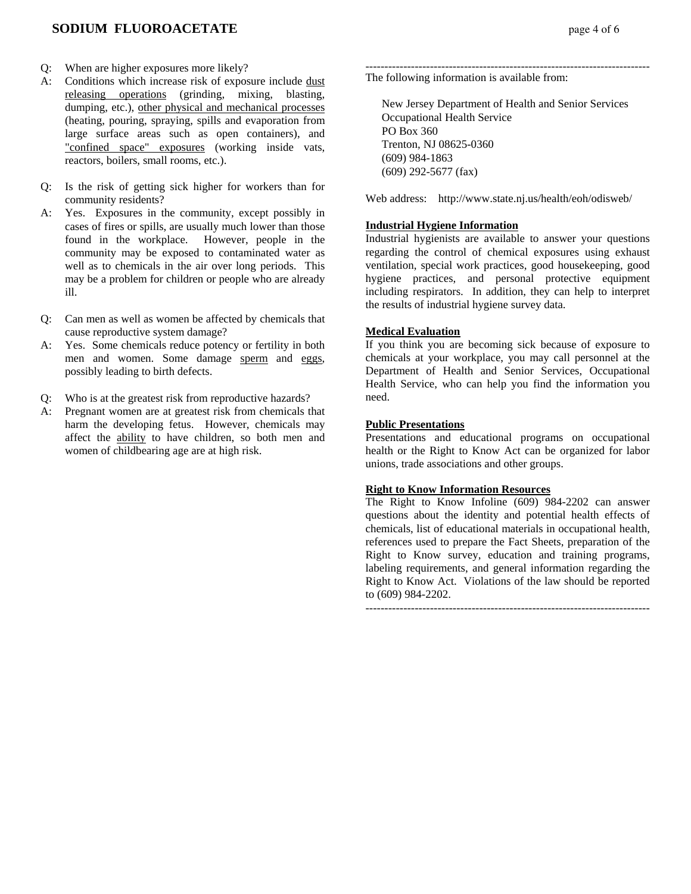# **SODIUM FLUOROACETATE page 4 of 6**

- Q: When are higher exposures more likely?
- A: Conditions which increase risk of exposure include dust releasing operations (grinding, mixing, blasting, dumping, etc.), other physical and mechanical processes (heating, pouring, spraying, spills and evaporation from large surface areas such as open containers), and "confined space" exposures (working inside vats, reactors, boilers, small rooms, etc.).
- Q: Is the risk of getting sick higher for workers than for community residents?
- A: Yes. Exposures in the community, except possibly in cases of fires or spills, are usually much lower than those found in the workplace. However, people in the community may be exposed to contaminated water as well as to chemicals in the air over long periods. This may be a problem for children or people who are already ill.
- Q: Can men as well as women be affected by chemicals that cause reproductive system damage?
- A: Yes. Some chemicals reduce potency or fertility in both men and women. Some damage sperm and eggs, possibly leading to birth defects.
- Q: Who is at the greatest risk from reproductive hazards?
- A: Pregnant women are at greatest risk from chemicals that harm the developing fetus. However, chemicals may affect the ability to have children, so both men and women of childbearing age are at high risk.

 New Jersey Department of Health and Senior Services Occupational Health Service PO Box 360 Trenton, NJ 08625-0360 (609) 984-1863 (609) 292-5677 (fax)

Web address: http://www.state.nj.us/health/eoh/odisweb/

#### **Industrial Hygiene Information**

Industrial hygienists are available to answer your questions regarding the control of chemical exposures using exhaust ventilation, special work practices, good housekeeping, good hygiene practices, and personal protective equipment including respirators. In addition, they can help to interpret the results of industrial hygiene survey data.

#### **Medical Evaluation**

If you think you are becoming sick because of exposure to chemicals at your workplace, you may call personnel at the Department of Health and Senior Services, Occupational Health Service, who can help you find the information you need.

#### **Public Presentations**

Presentations and educational programs on occupational health or the Right to Know Act can be organized for labor unions, trade associations and other groups.

#### **Right to Know Information Resources**

The Right to Know Infoline (609) 984-2202 can answer questions about the identity and potential health effects of chemicals, list of educational materials in occupational health, references used to prepare the Fact Sheets, preparation of the Right to Know survey, education and training programs, labeling requirements, and general information regarding the Right to Know Act. Violations of the law should be reported to (609) 984-2202.

---------------------------------------------------------------------------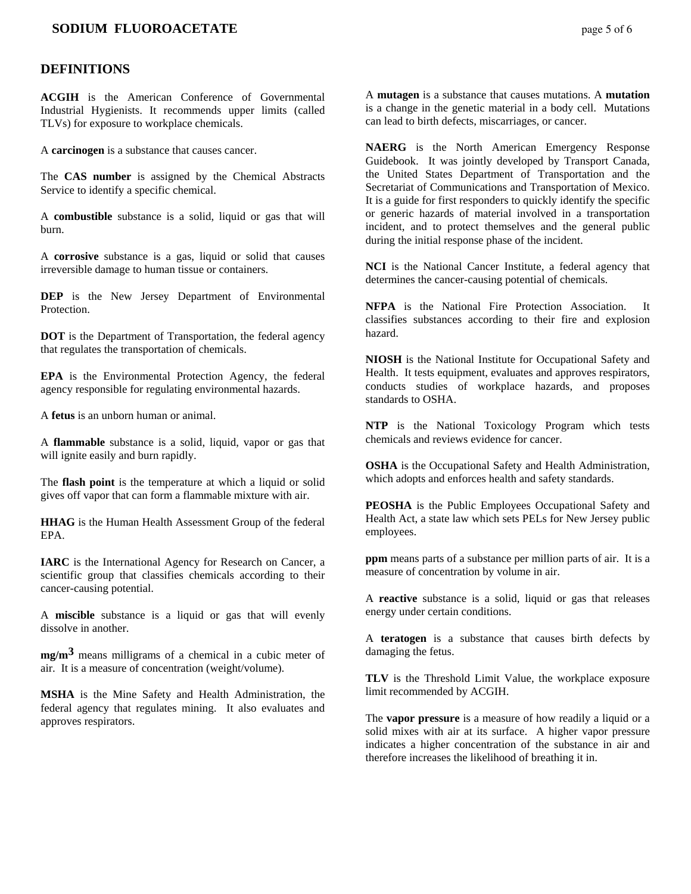## **SODIUM FLUOROACETATE** page 5 of 6

### **DEFINITIONS**

**ACGIH** is the American Conference of Governmental Industrial Hygienists. It recommends upper limits (called TLVs) for exposure to workplace chemicals.

A **carcinogen** is a substance that causes cancer.

The **CAS number** is assigned by the Chemical Abstracts Service to identify a specific chemical.

A **combustible** substance is a solid, liquid or gas that will burn.

A **corrosive** substance is a gas, liquid or solid that causes irreversible damage to human tissue or containers.

**DEP** is the New Jersey Department of Environmental Protection.

**DOT** is the Department of Transportation, the federal agency that regulates the transportation of chemicals.

**EPA** is the Environmental Protection Agency, the federal agency responsible for regulating environmental hazards.

A **fetus** is an unborn human or animal.

A **flammable** substance is a solid, liquid, vapor or gas that will ignite easily and burn rapidly.

The **flash point** is the temperature at which a liquid or solid gives off vapor that can form a flammable mixture with air.

**HHAG** is the Human Health Assessment Group of the federal EPA.

**IARC** is the International Agency for Research on Cancer, a scientific group that classifies chemicals according to their cancer-causing potential.

A **miscible** substance is a liquid or gas that will evenly dissolve in another.

**mg/m3** means milligrams of a chemical in a cubic meter of air. It is a measure of concentration (weight/volume).

**MSHA** is the Mine Safety and Health Administration, the federal agency that regulates mining. It also evaluates and approves respirators.

A **mutagen** is a substance that causes mutations. A **mutation** is a change in the genetic material in a body cell. Mutations can lead to birth defects, miscarriages, or cancer.

**NAERG** is the North American Emergency Response Guidebook. It was jointly developed by Transport Canada, the United States Department of Transportation and the Secretariat of Communications and Transportation of Mexico. It is a guide for first responders to quickly identify the specific or generic hazards of material involved in a transportation incident, and to protect themselves and the general public during the initial response phase of the incident.

**NCI** is the National Cancer Institute, a federal agency that determines the cancer-causing potential of chemicals.

**NFPA** is the National Fire Protection Association. It classifies substances according to their fire and explosion hazard.

**NIOSH** is the National Institute for Occupational Safety and Health. It tests equipment, evaluates and approves respirators, conducts studies of workplace hazards, and proposes standards to OSHA.

**NTP** is the National Toxicology Program which tests chemicals and reviews evidence for cancer.

**OSHA** is the Occupational Safety and Health Administration, which adopts and enforces health and safety standards.

**PEOSHA** is the Public Employees Occupational Safety and Health Act, a state law which sets PELs for New Jersey public employees.

**ppm** means parts of a substance per million parts of air. It is a measure of concentration by volume in air.

A **reactive** substance is a solid, liquid or gas that releases energy under certain conditions.

A **teratogen** is a substance that causes birth defects by damaging the fetus.

**TLV** is the Threshold Limit Value, the workplace exposure limit recommended by ACGIH.

The **vapor pressure** is a measure of how readily a liquid or a solid mixes with air at its surface. A higher vapor pressure indicates a higher concentration of the substance in air and therefore increases the likelihood of breathing it in.